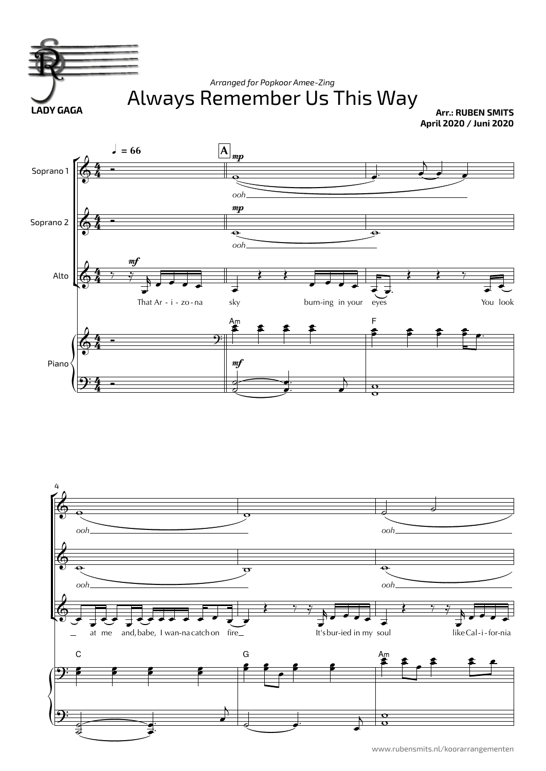

www.rubensmits.nl/koorarrangementen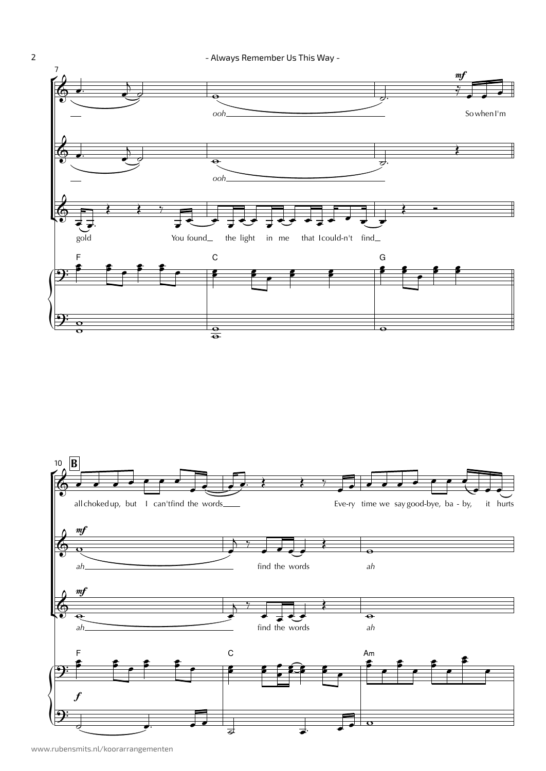- Always Remember Us This Way -





www.rubensmits.nl/koorarrangementen

 $\overline{2}$